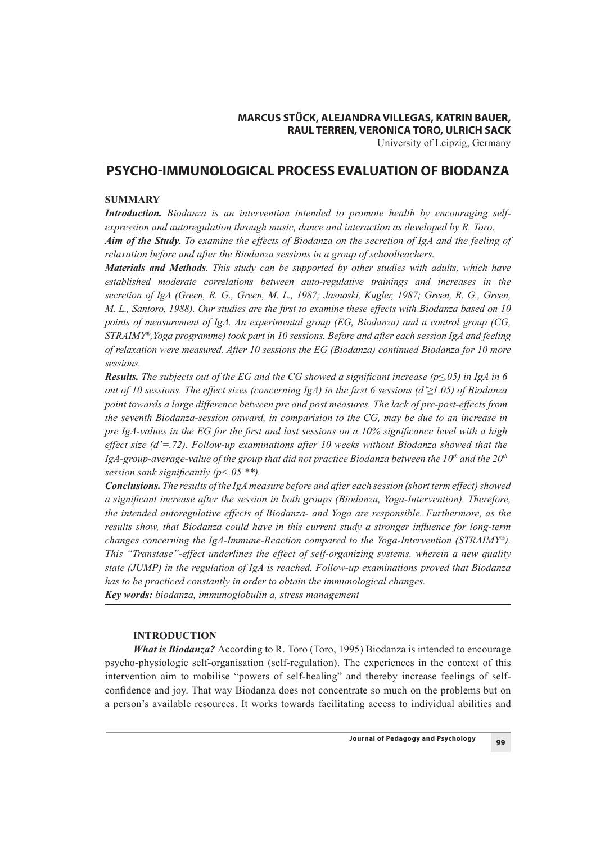# **MARCUS STÜCK, ALEJANDRA VILLEGAS, KATRIN BAUER,** RAUL TERREN, VERONICA TORO, ULRICH SACK

University of Leipzig, Germany

# **PSYCHO-IMMUNOLOGICAL PROCESS EVALUATION OF BIODANZA**

### **SUMMARY**

*Introduction. Biodanza is an intervention intended to promote health by encouraging selfexpression and autoregulation through music, dance and interaction as developed by R. Toro.*

*Aim of the Study. To examine the effects of Biodanza on the secretion of IgA and the feeling of relaxation before and after the Biodanza sessions in a group of schoolteachers.*

*Materials and Methods. This study can be supported by other studies with adults, which have established moderate correlations between auto-regulative trainings and increases in the secretion of IgA (Green, R. G., Green, M. L., 1987; Jasnoski, Kugler, 1987; Green, R. G., Green, M. L., Santoro, 1988). Our studies are the first to examine these effects with Biodanza based on 10 points of measurement of IgA. An experimental group (EG, Biodanza) and a control group (CG, STRAIMY® ,Yoga programme) took part in 10 sessions. Before and after each session IgA and feeling of relaxation were measured. After 10 sessions the EG (Biodanza) continued Biodanza for 10 more sessions.*

*Results. The subjects out of the EG and the CG showed a significant increase (p≤.05) in IgA in 6 out of 10 sessions. The effect sizes (concerning IgA) in the first 6 sessions (d'≥1.05) of Biodanza point towards a large difference between pre and post measures. The lack of pre-post-effects from the seventh Biodanza-session onward, in comparision to the CG, may be due to an increase in pre IgA-values in the EG for the first and last sessions on a 10% significance level with a high effect size (d'=.72). Follow-up examinations after 10 weeks without Biodanza showed that the IgA-group-average-value of the group that did not practice Biodanza between the 10th and the 20th session sank significantly (p<.05 \*\*).*

*Conclusions. The results of the IgA measure before and after each session (short term effect) showed a significant increase after the session in both groups (Biodanza, Yoga-Intervention). Therefore, the intended autoregulative effects of Biodanza- and Yoga are responsible. Furthermore, as the results show, that Biodanza could have in this current study a stronger influence for long-term changes concerning the IgA-Immune-Reaction compared to the Yoga-Intervention (STRAIMY® ). This "Transtase"-effect underlines the effect of self-organizing systems, wherein a new quality state (JUMP) in the regulation of IgA is reached. Follow-up examinations proved that Biodanza has to be practiced constantly in order to obtain the immunological changes.*

*Key words: biodanza, immunoglobulin a, stress management* 

## **INTRODUCTION**

*What is Biodanza?* According to R. Toro (Toro, 1995) Biodanza is intended to encourage psycho-physiologic self-organisation (self-regulation). The experiences in the context of this intervention aim to mobilise "powers of self-healing" and thereby increase feelings of selfconfidence and joy. That way Biodanza does not concentrate so much on the problems but on a person's available resources. It works towards facilitating access to individual abilities and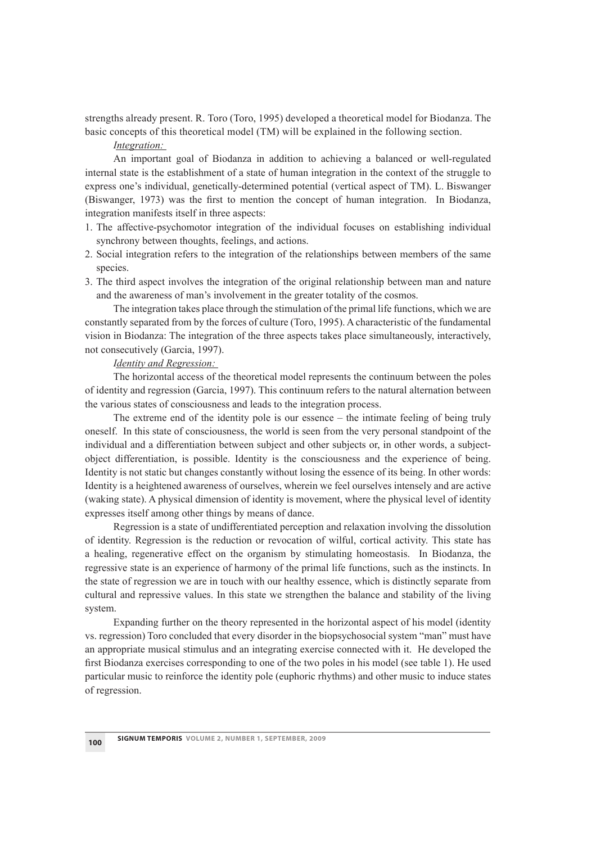strengths already present. R. Toro (Toro, 1995) developed a theoretical model for Biodanza. The basic concepts of this theoretical model (TM) will be explained in the following section.

#### *Integration:*

An important goal of Biodanza in addition to achieving a balanced or well-regulated internal state is the establishment of a state of human integration in the context of the struggle to express one's individual, genetically-determined potential (vertical aspect of TM). L. Biswanger (Biswanger, 1973) was the first to mention the concept of human integration. In Biodanza, integration manifests itself in three aspects:

- 1. The affective-psychomotor integration of the individual focuses on establishing individual synchrony between thoughts, feelings, and actions.
- 2. Social integration refers to the integration of the relationships between members of the same species.
- 3. The third aspect involves the integration of the original relationship between man and nature and the awareness of man's involvement in the greater totality of the cosmos.

The integration takes place through the stimulation of the primal life functions, which we are constantly separated from by the forces of culture (Toro, 1995). A characteristic of the fundamental vision in Biodanza: The integration of the three aspects takes place simultaneously, interactively, not consecutively (Garcia, 1997).

### *Identity and Regression:*

The horizontal access of the theoretical model represents the continuum between the poles of identity and regression (Garcia, 1997). This continuum refers to the natural alternation between the various states of consciousness and leads to the integration process.

The extreme end of the identity pole is our essence – the intimate feeling of being truly oneself. In this state of consciousness, the world is seen from the very personal standpoint of the individual and a differentiation between subject and other subjects or, in other words, a subjectobject differentiation, is possible. Identity is the consciousness and the experience of being. Identity is not static but changes constantly without losing the essence of its being. In other words: Identity is a heightened awareness of ourselves, wherein we feel ourselves intensely and are active (waking state). A physical dimension of identity is movement, where the physical level of identity expresses itself among other things by means of dance.

Regression is a state of undifferentiated perception and relaxation involving the dissolution of identity. Regression is the reduction or revocation of wilful, cortical activity. This state has a healing, regenerative effect on the organism by stimulating homeostasis. In Biodanza, the regressive state is an experience of harmony of the primal life functions, such as the instincts. In the state of regression we are in touch with our healthy essence, which is distinctly separate from cultural and repressive values. In this state we strengthen the balance and stability of the living system.

Expanding further on the theory represented in the horizontal aspect of his model (identity vs. regression) Toro concluded that every disorder in the biopsychosocial system "man" must have an appropriate musical stimulus and an integrating exercise connected with it. He developed the first Biodanza exercises corresponding to one of the two poles in his model (see table 1). He used particular music to reinforce the identity pole (euphoric rhythms) and other music to induce states of regression.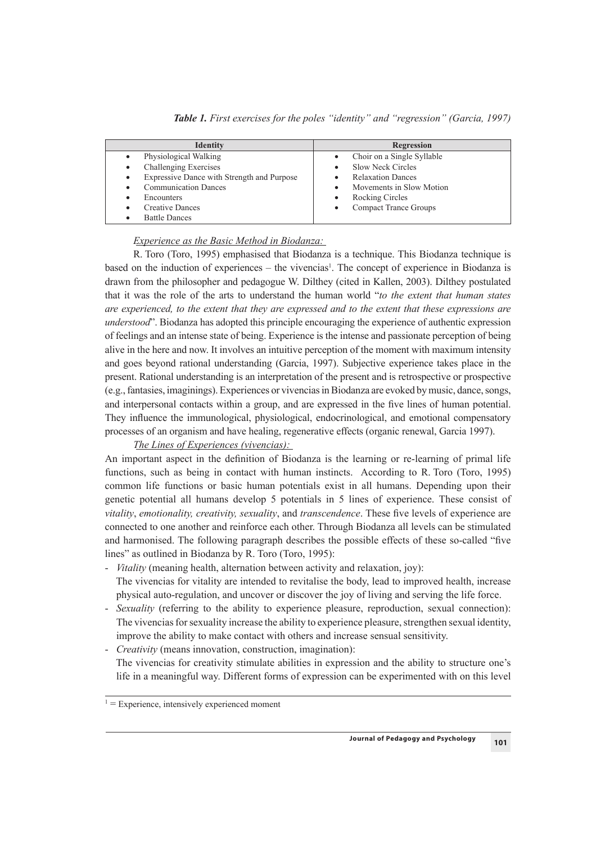| <b>Identity</b>                            | <b>Regression</b>            |  |  |  |  |
|--------------------------------------------|------------------------------|--|--|--|--|
| Physiological Walking                      | Choir on a Single Syllable   |  |  |  |  |
| Challenging Exercises                      | <b>Slow Neck Circles</b>     |  |  |  |  |
| Expressive Dance with Strength and Purpose | <b>Relaxation Dances</b>     |  |  |  |  |
| ٠                                          | Movements in Slow Motion     |  |  |  |  |
| <b>Communication Dances</b>                | ٠                            |  |  |  |  |
| Encounters                                 | Rocking Circles              |  |  |  |  |
| <b>Creative Dances</b>                     | ٠                            |  |  |  |  |
| <b>Battle Dances</b>                       | <b>Compact Trance Groups</b> |  |  |  |  |

*Table 1. First exercises for the poles "identity" and "regression" (Garcia, 1997)* 

## *Experience as the Basic Method in Biodanza:*

R. Toro (Toro, 1995) emphasised that Biodanza is a technique. This Biodanza technique is based on the induction of experiences – the vivencias<sup>1</sup>. The concept of experience in Biodanza is drawn from the philosopher and pedagogue W. Dilthey (cited in Kallen, 2003). Dilthey postulated that it was the role of the arts to understand the human world "*to the extent that human states are experienced, to the extent that they are expressed and to the extent that these expressions are understood*". Biodanza has adopted this principle encouraging the experience of authentic expression of feelings and an intense state of being. Experience is the intense and passionate perception of being alive in the here and now. It involves an intuitive perception of the moment with maximum intensity and goes beyond rational understanding (Garcia, 1997). Subjective experience takes place in the present. Rational understanding is an interpretation of the present and is retrospective or prospective (e.g., fantasies, imaginings). Experiences or vivencias in Biodanza are evoked by music, dance, songs, and interpersonal contacts within a group, and are expressed in the five lines of human potential. They influence the immunological, physiological, endocrinological, and emotional compensatory processes of an organism and have healing, regenerative effects (organic renewal, Garcia 1997).

## *The Lines of Experiences (vivencias):*

An important aspect in the definition of Biodanza is the learning or re-learning of primal life functions, such as being in contact with human instincts. According to R. Toro (Toro, 1995) common life functions or basic human potentials exist in all humans. Depending upon their genetic potential all humans develop 5 potentials in 5 lines of experience. These consist of *vitality*, *emotionality, creativity, sexuality*, and *transcendence*. These five levels of experience are connected to one another and reinforce each other. Through Biodanza all levels can be stimulated and harmonised. The following paragraph describes the possible effects of these so-called "five lines" as outlined in Biodanza by R. Toro (Toro, 1995):

- *Vitality* (meaning health, alternation between activity and relaxation, joy): The vivencias for vitality are intended to revitalise the body, lead to improved health, increase physical auto-regulation, and uncover or discover the joy of living and serving the life force.
- *Sexuality* (referring to the ability to experience pleasure, reproduction, sexual connection): The vivencias for sexuality increase the ability to experience pleasure, strengthen sexual identity, improve the ability to make contact with others and increase sensual sensitivity.
- *Creativity* (means innovation, construction, imagination): The vivencias for creativity stimulate abilities in expression and the ability to structure one's life in a meaningful way. Different forms of expression can be experimented with on this level

 $1 =$  Experience, intensively experienced moment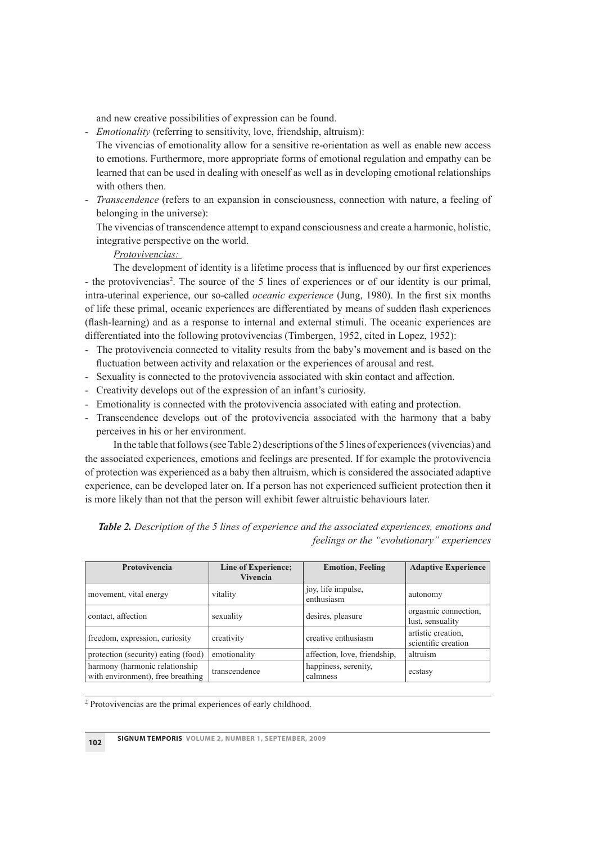and new creative possibilities of expression can be found.

- *Emotionality* (referring to sensitivity, love, friendship, altruism):
- The vivencias of emotionality allow for a sensitive re-orientation as well as enable new access to emotions. Furthermore, more appropriate forms of emotional regulation and empathy can be learned that can be used in dealing with oneself as well as in developing emotional relationships with others then.
- *Transcendence* (refers to an expansion in consciousness, connection with nature, a feeling of belonging in the universe):

 The vivencias of transcendence attempt to expand consciousness and create a harmonic, holistic, integrative perspective on the world.

#### *Protovivencias:*

The development of identity is a lifetime process that is influenced by our first experiences - the protovivencias<sup>2</sup>. The source of the 5 lines of experiences or of our identity is our primal, intra-uterinal experience, our so-called *oceanic experience* (Jung, 1980). In the first six months of life these primal, oceanic experiences are differentiated by means of sudden flash experiences (flash-learning) and as a response to internal and external stimuli. The oceanic experiences are differentiated into the following protovivencias (Timbergen, 1952, cited in Lopez, 1952):

- The protovivencia connected to vitality results from the baby's movement and is based on the fluctuation between activity and relaxation or the experiences of arousal and rest.
- Sexuality is connected to the protovivencia associated with skin contact and affection.
- Creativity develops out of the expression of an infant's curiosity.
- Emotionality is connected with the protovivencia associated with eating and protection.
- Transcendence develops out of the protovivencia associated with the harmony that a baby perceives in his or her environment.

In the table that follows (see Table 2) descriptions of the 5 lines of experiences (vivencias) and the associated experiences, emotions and feelings are presented. If for example the protovivencia of protection was experienced as a baby then altruism, which is considered the associated adaptive experience, can be developed later on. If a person has not experienced sufficient protection then it is more likely than not that the person will exhibit fewer altruistic behaviours later.

*Table 2. Description of the 5 lines of experience and the associated experiences, emotions and feelings or the "evolutionary" experiences*

| Protovivencia                                                       | Line of Experience;<br><b>Vivencia</b> | <b>Emotion, Feeling</b>          | <b>Adaptive Experience</b>                |
|---------------------------------------------------------------------|----------------------------------------|----------------------------------|-------------------------------------------|
| movement, vital energy                                              | vitality                               | joy, life impulse,<br>enthusiasm | autonomy                                  |
| contact, affection                                                  | sexuality                              | desires, pleasure                | orgasmic connection,<br>lust, sensuality  |
| freedom, expression, curiosity                                      | creativity                             | creative enthusiasm              | artistic creation.<br>scientific creation |
| protection (security) eating (food)                                 | emotionality                           | affection, love, friendship,     | altruism                                  |
| harmony (harmonic relationship<br>with environment), free breathing | transcendence                          | happiness, serenity,<br>calmness | ecstasy                                   |

<sup>2</sup> Protovivencias are the primal experiences of early childhood.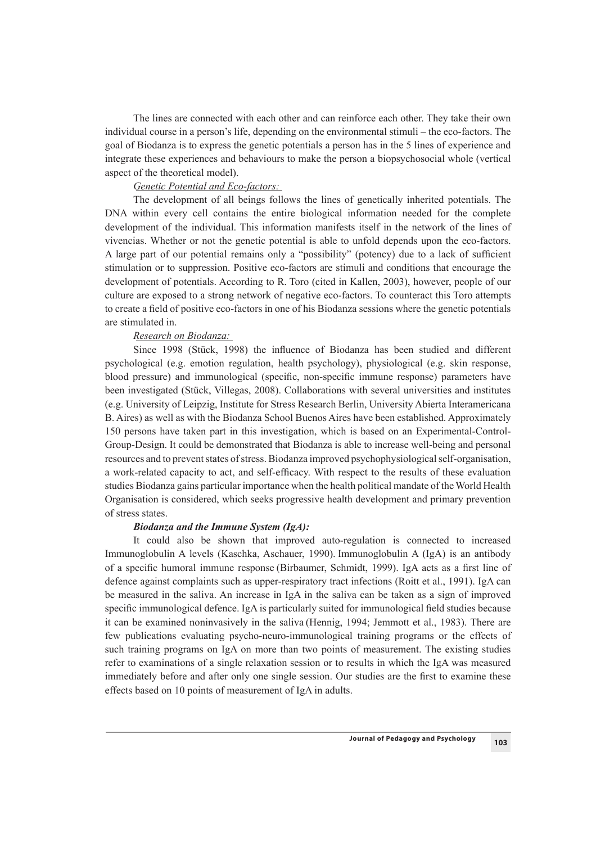The lines are connected with each other and can reinforce each other. They take their own individual course in a person's life, depending on the environmental stimuli – the eco-factors. The goal of Biodanza is to express the genetic potentials a person has in the 5 lines of experience and integrate these experiences and behaviours to make the person a biopsychosocial whole (vertical aspect of the theoretical model).

## *Genetic Potential and Eco-factors:*

The development of all beings follows the lines of genetically inherited potentials. The DNA within every cell contains the entire biological information needed for the complete development of the individual. This information manifests itself in the network of the lines of vivencias. Whether or not the genetic potential is able to unfold depends upon the eco-factors. A large part of our potential remains only a "possibility" (potency) due to a lack of sufficient stimulation or to suppression. Positive eco-factors are stimuli and conditions that encourage the development of potentials. According to R. Toro (cited in Kallen, 2003), however, people of our culture are exposed to a strong network of negative eco-factors. To counteract this Toro attempts to create a field of positive eco-factors in one of his Biodanza sessions where the genetic potentials are stimulated in.

## *Research on Biodanza:*

Since 1998 (Stück, 1998) the influence of Biodanza has been studied and different psychological (e.g. emotion regulation, health psychology), physiological (e.g. skin response, blood pressure) and immunological (specific, non-specific immune response) parameters have been investigated (Stück, Villegas, 2008). Collaborations with several universities and institutes (e.g. University of Leipzig, Institute for Stress Research Berlin, University Abierta Interamericana B. Aires) as well as with the Biodanza School Buenos Aires have been established. Approximately 150 persons have taken part in this investigation, which is based on an Experimental-Control-Group-Design. It could be demonstrated that Biodanza is able to increase well-being and personal resources and to prevent states of stress. Biodanza improved psychophysiological self-organisation, a work-related capacity to act, and self-efficacy. With respect to the results of these evaluation studies Biodanza gains particular importance when the health political mandate of the World Health Organisation is considered, which seeks progressive health development and primary prevention of stress states.

### *Biodanza and the Immune System (IgA):*

It could also be shown that improved auto-regulation is connected to increased Immunoglobulin A levels (Kaschka, Aschauer, 1990). Immunoglobulin A (IgA) is an antibody of a specific humoral immune response (Birbaumer, Schmidt, 1999). IgA acts as a first line of defence against complaints such as upper-respiratory tract infections (Roitt et al., 1991). IgA can be measured in the saliva. An increase in IgA in the saliva can be taken as a sign of improved specific immunological defence. IgA is particularly suited for immunological field studies because it can be examined noninvasively in the saliva (Hennig, 1994; Jemmott et al., 1983). There are few publications evaluating psycho-neuro-immunological training programs or the effects of such training programs on IgA on more than two points of measurement. The existing studies refer to examinations of a single relaxation session or to results in which the IgA was measured immediately before and after only one single session. Our studies are the first to examine these effects based on 10 points of measurement of IgA in adults.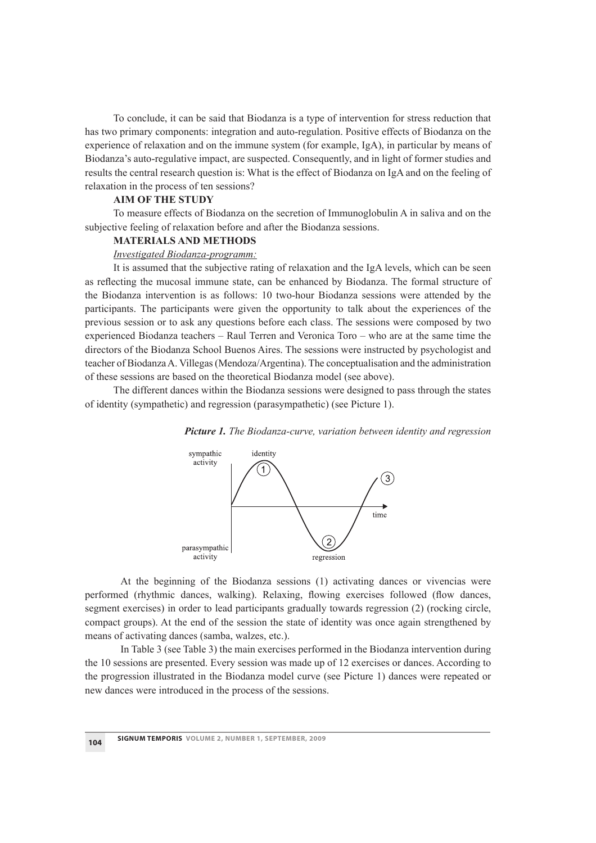To conclude, it can be said that Biodanza is a type of intervention for stress reduction that has two primary components: integration and auto-regulation. Positive effects of Biodanza on the experience of relaxation and on the immune system (for example, IgA), in particular by means of Biodanza's auto-regulative impact, are suspected. Consequently, and in light of former studies and results the central research question is: What is the effect of Biodanza on IgA and on the feeling of relaxation in the process of ten sessions?

### **AIM OF THE STUDY**

To measure effects of Biodanza on the secretion of Immunoglobulin A in saliva and on the subjective feeling of relaxation before and after the Biodanza sessions.

### **MATERIALS AND METHODS**

### *Investigated Biodanza-programm:*

It is assumed that the subjective rating of relaxation and the IgA levels, which can be seen as reflecting the mucosal immune state, can be enhanced by Biodanza. The formal structure of the Biodanza intervention is as follows: 10 two-hour Biodanza sessions were attended by the participants. The participants were given the opportunity to talk about the experiences of the previous session or to ask any questions before each class. The sessions were composed by two experienced Biodanza teachers – Raul Terren and Veronica Toro – who are at the same time the directors of the Biodanza School Buenos Aires. The sessions were instructed by psychologist and teacher of Biodanza A. Villegas (Mendoza/Argentina). The conceptualisation and the administration of these sessions are based on the theoretical Biodanza model (see above).

The different dances within the Biodanza sessions were designed to pass through the states of identity (sympathetic) and regression (parasympathetic) (see Picture 1).



*Picture 1. The Biodanza-curve, variation between identity and regression*

At the beginning of the Biodanza sessions (1) activating dances or vivencias were performed (rhythmic dances, walking). Relaxing, flowing exercises followed (flow dances, segment exercises) in order to lead participants gradually towards regression (2) (rocking circle, compact groups). At the end of the session the state of identity was once again strengthened by means of activating dances (samba, walzes, etc.).

In Table 3 (see Table 3) the main exercises performed in the Biodanza intervention during the 10 sessions are presented. Every session was made up of 12 exercises or dances. According to the progression illustrated in the Biodanza model curve (see Picture 1) dances were repeated or new dances were introduced in the process of the sessions.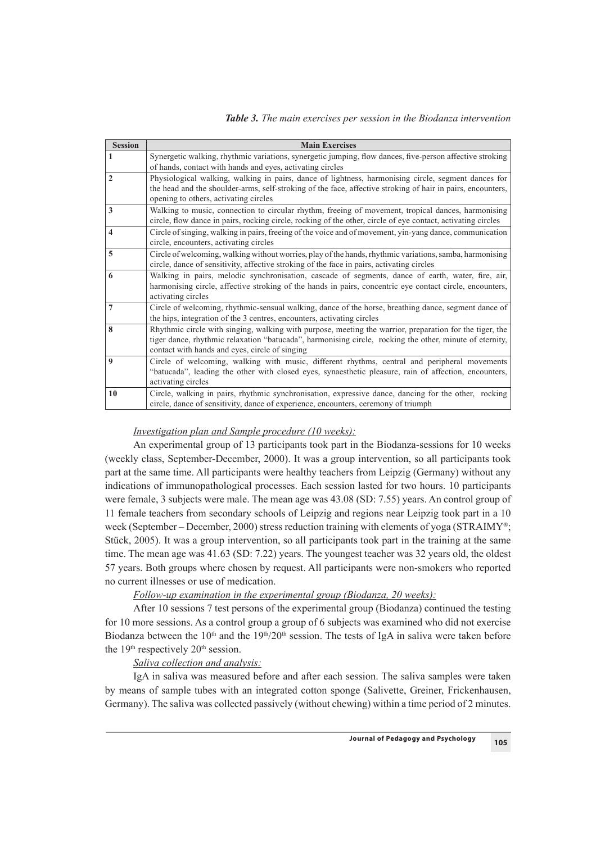*Table 3. The main exercises per session in the Biodanza intervention*

| <b>Session</b> | <b>Main Exercises</b>                                                                                                                                                                                                                                                |
|----------------|----------------------------------------------------------------------------------------------------------------------------------------------------------------------------------------------------------------------------------------------------------------------|
| 1              | Synergetic walking, rhythmic variations, synergetic jumping, flow dances, five-person affective stroking<br>of hands, contact with hands and eyes, activating circles                                                                                                |
| $\mathbf{2}$   | Physiological walking, walking in pairs, dance of lightness, harmonising circle, segment dances for<br>the head and the shoulder-arms, self-stroking of the face, affective stroking of hair in pairs, encounters,<br>opening to others, activating circles          |
| 3              | Walking to music, connection to circular rhythm, freeing of movement, tropical dances, harmonising<br>circle, flow dance in pairs, rocking circle, rocking of the other, circle of eye contact, activating circles                                                   |
| 4              | Circle of singing, walking in pairs, freeing of the voice and of movement, yin-yang dance, communication<br>circle, encounters, activating circles                                                                                                                   |
| 5              | Circle of welcoming, walking without worries, play of the hands, rhythmic variations, samba, harmonising<br>circle, dance of sensitivity, affective stroking of the face in pairs, activating circles                                                                |
| 6              | Walking in pairs, melodic synchronisation, cascade of segments, dance of earth, water, fire, air,<br>harmonising circle, affective stroking of the hands in pairs, concentric eye contact circle, encounters,<br>activating circles                                  |
| 7              | Circle of welcoming, rhythmic-sensual walking, dance of the horse, breathing dance, segment dance of<br>the hips, integration of the 3 centres, encounters, activating circles                                                                                       |
| 8              | Rhythmic circle with singing, walking with purpose, meeting the warrior, preparation for the tiger, the<br>tiger dance, rhythmic relaxation "batucada", harmonising circle, rocking the other, minute of eternity,<br>contact with hands and eyes, circle of singing |
| 9              | Circle of welcoming, walking with music, different rhythms, central and peripheral movements<br>"batucada", leading the other with closed eyes, synaesthetic pleasure, rain of affection, encounters,<br>activating circles                                          |
| 10             | Circle, walking in pairs, rhythmic synchronisation, expressive dance, dancing for the other, rocking<br>circle, dance of sensitivity, dance of experience, encounters, ceremony of triumph                                                                           |

## *Investigation plan and Sample procedure (10 weeks):*

An experimental group of 13 participants took part in the Biodanza-sessions for 10 weeks (weekly class, September-December, 2000). It was a group intervention, so all participants took part at the same time. All participants were healthy teachers from Leipzig (Germany) without any indications of immunopathological processes. Each session lasted for two hours. 10 participants were female, 3 subjects were male. The mean age was 43.08 (SD: 7.55) years. An control group of 11 female teachers from secondary schools of Leipzig and regions near Leipzig took part in a 10 week (September – December, 2000) stress reduction training with elements of yoga (STRAIMY®; Stück, 2005). It was a group intervention, so all participants took part in the training at the same time. The mean age was 41.63 (SD: 7.22) years. The youngest teacher was 32 years old, the oldest 57 years. Both groups where chosen by request. All participants were non-smokers who reported no current illnesses or use of medication.

## *Follow-up examination in the experimental group (Biodanza, 20 weeks):*

After 10 sessions 7 test persons of the experimental group (Biodanza) continued the testing for 10 more sessions. As a control group a group of 6 subjects was examined who did not exercise Biodanza between the 10<sup>th</sup> and the 19<sup>th</sup>/20<sup>th</sup> session. The tests of IgA in saliva were taken before the  $19<sup>th</sup>$  respectively  $20<sup>th</sup>$  session.

## *Saliva collection and analysis:*

IgA in saliva was measured before and after each session. The saliva samples were taken by means of sample tubes with an integrated cotton sponge (Salivette, Greiner, Frickenhausen, Germany). The saliva was collected passively (without chewing) within a time period of 2 minutes.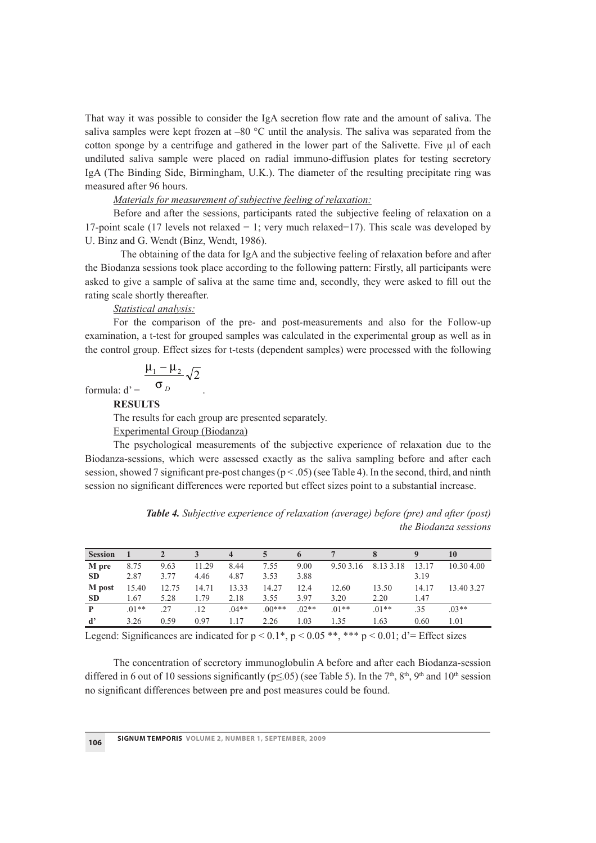That way it was possible to consider the IgA secretion flow rate and the amount of saliva. The saliva samples were kept frozen at  $-80$  °C until the analysis. The saliva was separated from the cotton sponge by a centrifuge and gathered in the lower part of the Salivette. Five µl of each undiluted saliva sample were placed on radial immuno-diffusion plates for testing secretory IgA (The Binding Side, Birmingham, U.K.). The diameter of the resulting precipitate ring was measured after 96 hours.

#### *Materials for measurement of subjective feeling of relaxation:*

Before and after the sessions, participants rated the subjective feeling of relaxation on a 17-point scale (17 levels not relaxed = 1; very much relaxed=17). This scale was developed by U. Binz and G. Wendt (Binz, Wendt, 1986).

The obtaining of the data for IgA and the subjective feeling of relaxation before and after the Biodanza sessions took place according to the following pattern: Firstly, all participants were asked to give a sample of saliva at the same time and, secondly, they were asked to fill out the rating scale shortly thereafter.

## *Statistical analysis:*

For the comparison of the pre- and post-measurements and also for the Follow-up examination, a t-test for grouped samples was calculated in the experimental group as well as in the control group. Effect sizes for t-tests (dependent samples) were processed with the following

$$
\frac{\mu_1 - \mu_2}{\sigma_D} \sqrt{2}
$$

formula:  $d' =$ 

**RESULTS**

The results for each group are presented separately.

.

Experimental Group (Biodanza)

The psychological measurements of the subjective experience of relaxation due to the Biodanza-sessions, which were assessed exactly as the saliva sampling before and after each session, showed 7 significant pre-post changes ( $p < .05$ ) (see Table 4). In the second, third, and ninth session no significant differences were reported but effect sizes point to a substantial increase.

**Session 1 2 3 4 5 6 7 8 9 10 M pre SD** 8.75 2.87 9.63 3.77 11.29 4.46 8.44 4.87 7.55 3.53 9.00 3.88 9.50 3.16 8.13 3.18 13.17 3.19 10.30 4.00 **M post SD** 15.40 1.67 12.75 5.28 14.71 1.79 13.33 2.18 14.27 3.55 12.4 3.97 12.60 3.20 13.50 2.20 14.17 1.47 13.40 3.27 **P** .01\*\* .27 .12 .04\*\* .00\*\*\* .02\*\* .01\*\* .01\*\* .35 .03\*\*

*Table 4. Subjective experience of relaxation (average) before (pre) and after (post) the Biodanza sessions*

**d'** 3.26 0.59 0.97 1.17 2.26 1.03 1.35 1.63 0.60 1.01 Legend: Significances are indicated for  $p < 0.1^*$ ,  $p < 0.05^{**}$ , \*\*\*  $p < 0.01$ ; d'= Effect sizes

The concentration of secretory immunoglobulin A before and after each Biodanza-session differed in 6 out of 10 sessions significantly (p≤.05) (see Table 5). In the 7<sup>th</sup>, 8<sup>th</sup>, 9<sup>th</sup> and 10<sup>th</sup> session no significant differences between pre and post measures could be found.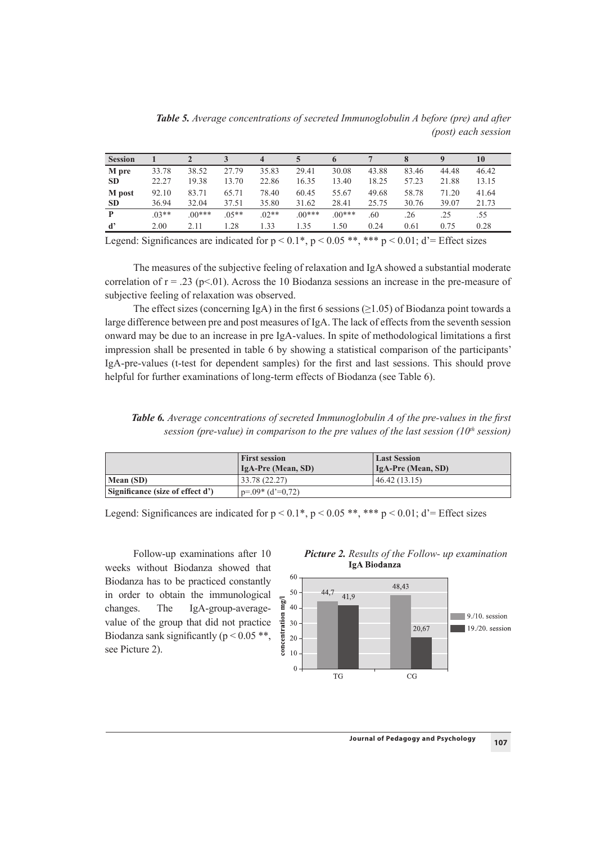| <b>Session</b> |        |         |         |         |         | 6        |       |       | q     | 10    |
|----------------|--------|---------|---------|---------|---------|----------|-------|-------|-------|-------|
| M pre          | 33.78  | 38.52   | 27.79   | 35.83   | 29.41   | 30.08    | 43.88 | 83.46 | 44.48 | 46.42 |
| <b>SD</b>      | 22.27  | 19.38   | 13.70   | 22.86   | 16.35   | 13.40    | 18.25 | 57.23 | 21.88 | 13.15 |
| M post         | 92.10  | 83.71   | 65.71   | 78.40   | 60.45   | 55.67    | 49.68 | 58.78 | 71.20 | 41.64 |
| <b>SD</b>      | 36.94  | 32.04   | 37.51   | 35.80   | 31.62   | 28.41    | 25.75 | 30.76 | 39.07 | 21.73 |
| P              | $03**$ | $00***$ | $0.5**$ | $.02**$ | $00***$ | $.00***$ | .60   | .26   | .25   | .55   |
| $\mathbf{d}$   | 2.00   | 2.11    | .28     | 1.33    | l.35    | .50      | 0.24  | 0.61  | 0.75  | 0.28  |

*Table 5. Average concentrations of secreted Immunoglobulin A before (pre) and after (post) each session* 

Legend: Significances are indicated for  $p < 0.1^*$ ,  $p < 0.05^{**}$ , \*\*\*  $p < 0.01$ ; d'= Effect sizes

The measures of the subjective feeling of relaxation and IgA showed a substantial moderate correlation of  $r = .23$  (p<.01). Across the 10 Biodanza sessions an increase in the pre-measure of subjective feeling of relaxation was observed.

The effect sizes (concerning IgA) in the first 6 sessions ( $\geq$ 1.05) of Biodanza point towards a large difference between pre and post measures of IgA. The lack of effects from the seventh session onward may be due to an increase in pre IgA-values. In spite of methodological limitations a first impression shall be presented in table 6 by showing a statistical comparison of the participants' IgA-pre-values (t-test for dependent samples) for the first and last sessions. This should prove helpful for further examinations of long-term effects of Biodanza (see Table 6).

*Table 6. Average concentrations of secreted Immunoglobulin A of the pre-values in the first session (pre-value) in comparison to the pre values of the last session (10th session)*

|                                  | <b>First session</b><br>IgA-Pre (Mean, SD) | <b>Last Session</b><br>IgA-Pre (Mean, SD) |
|----------------------------------|--------------------------------------------|-------------------------------------------|
| Mean (SD)                        | 33.78 (22.27)                              | 46.42 (13.15)                             |
| Significance (size of effect d') | $p=.09*(d'=0.72)$                          |                                           |

Legend: Significances are indicated for  $p < 0.1^*$ ,  $p < 0.05^{**}$ , \*\*\*  $p < 0.01$ ; d'= Effect sizes

Follow-up examinations after 10 weeks without Biodanza showed that Biodanza has to be practiced constantly in order to obtain the immunological changes. The IgA-group-averagevalue of the group that did not practice Biodanza sank significantly ( $p < 0.05$ \*\*, see Picture 2).



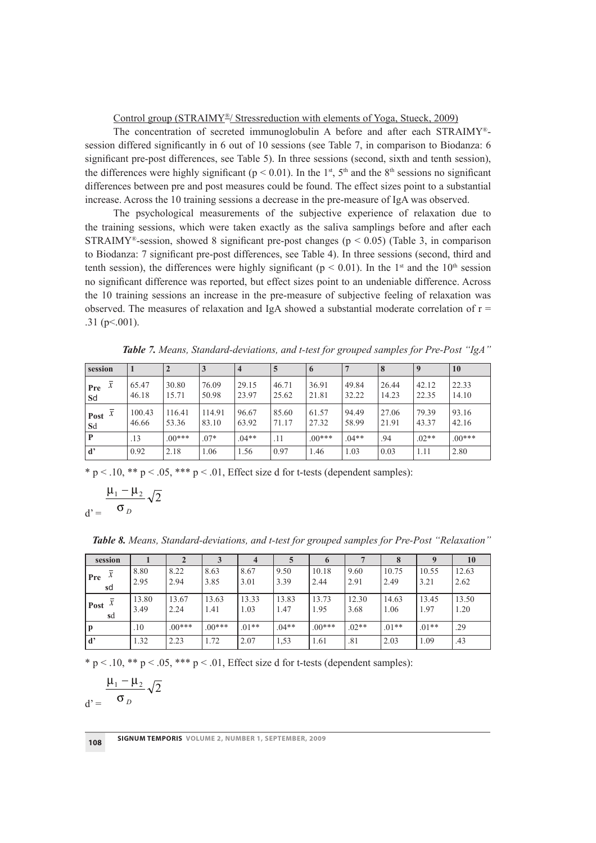Control group (STRAIMY<sup>®</sup>/ Stressreduction with elements of Yoga, Stueck, 2009)

The concentration of secreted immunoglobulin A before and after each STRAIMY® session differed significantly in 6 out of 10 sessions (see Table 7, in comparison to Biodanza: 6 significant pre-post differences, see Table 5). In three sessions (second, sixth and tenth session), the differences were highly significant ( $p < 0.01$ ). In the 1<sup>st</sup>, 5<sup>th</sup> and the 8<sup>th</sup> sessions no significant differences between pre and post measures could be found. The effect sizes point to a substantial increase. Across the 10 training sessions a decrease in the pre-measure of IgA was observed.

The psychological measurements of the subjective experience of relaxation due to the training sessions, which were taken exactly as the saliva samplings before and after each STRAIMY®-session, showed 8 significant pre-post changes ( $p < 0.05$ ) (Table 3, in comparison to Biodanza: 7 significant pre-post differences, see Table 4). In three sessions (second, third and tenth session), the differences were highly significant ( $p < 0.01$ ). In the 1<sup>st</sup> and the 10<sup>th</sup> session no significant difference was reported, but effect sizes point to an undeniable difference. Across the 10 training sessions an increase in the pre-measure of subjective feeling of relaxation was observed. The measures of relaxation and IgA showed a substantial moderate correlation of  $r =$ .31 ( $p<.001$ ).

| session               |                 |                 |                 | $\overline{\mathcal{A}}$ |                |                |                | 8              |                | 10             |
|-----------------------|-----------------|-----------------|-----------------|--------------------------|----------------|----------------|----------------|----------------|----------------|----------------|
| Pre $\bar{x}$<br>Sd   | 65.47<br>46.18  | 30.80<br>15.71  | 76.09<br>50.98  | 29.15<br>23.97           | 46.71<br>25.62 | 36.91<br>21.81 | 49.84<br>32.22 | 26.44<br>14.23 | 42.12<br>22.35 | 22.33<br>14.10 |
| Post<br>Sd            | 100.43<br>46.66 | 116.41<br>53.36 | 114.91<br>83.10 | 96.67<br>63.92           | 85.60<br>71.17 | 61.57<br>27.32 | 94.49<br>58.99 | 27.06<br>21.91 | 79.39<br>43.37 | 93.16<br>42.16 |
| P                     | .13             | $.00***$        | $.07*$          | $.04**$                  | .11            | $.00***$       | $.04**$        | .94            | $.02**$        | $.00***$       |
| $\mathbf{d}^{\prime}$ | 0.92            | 2.18            | 1.06            | 1.56                     | 0.97           | 1.46           | 1.03           | 0.03           | 1.11           | 2.80           |

*Table 7. Means, Standard-deviations, and t-test for grouped samples for Pre-Post "IgA"*

 $* p < .10, ** p < .05, *** p < .01$ , Effect size d for t-tests (dependent samples):

$$
d' = \frac{\mu_1 - \mu_2}{\sigma_D} \sqrt{2}
$$

*Table 8. Means, Standard-deviations, and t-test for grouped samples for Pre-Post "Relaxation"*

| session        |       | $\epsilon$ |          |         |         |          |         |         |         | 10    |
|----------------|-------|------------|----------|---------|---------|----------|---------|---------|---------|-------|
| $\overline{x}$ | 8.80  | 8.22       | 8.63     | 8.67    | 9.50    | 10.18    | 9.60    | 10.75   | 10.55   | 12.63 |
| l Pre<br>sd    | 2.95  | 2.94       | 3.85     | 3.01    | 3.39    | 2.44     | 2.91    | 2.49    | 3.21    | 2.62  |
| $\mathbf{v}$   | 13.80 | 13.67      | 13.63    | 13.33   | 13.83   | 13.73    | 12.30   | 14.63   | 13.45   | 13.50 |
| Post<br>sd     | 3.49  | 2.24       | 1.41     | 1.03    | 1.47    | 1.95     | 3.68    | 1.06    | 1.97    | 1.20  |
| p              | .10   | $.00***$   | $.00***$ | $.01**$ | $.04**$ | $.00***$ | $.02**$ | $.01**$ | $.01**$ | .29   |
| l d'           | 1.32  | 2.23       | 1.72     | 2.07    | 1,53    | 1.61     | .81     | 2.03    | 1.09    | .43   |

 $* p < .10, ** p < .05, *** p < .01$ , Effect size d for t-tests (dependent samples):

$$
d' = \frac{\mu_1 - \mu_2}{\sigma_D} \sqrt{2}
$$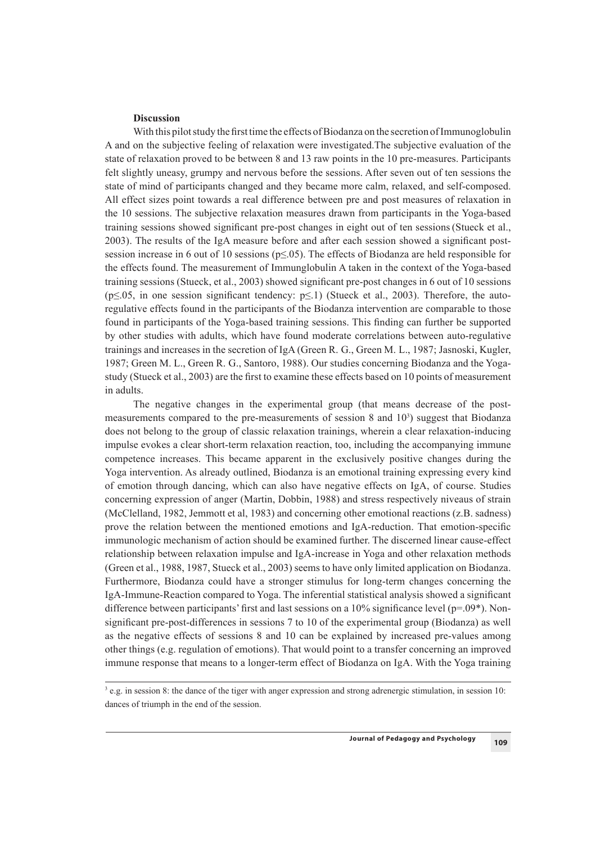### **Discussion**

With this pilot study the first time the effects of Biodanza on the secretion of Immunoglobulin A and on the subjective feeling of relaxation were investigated.The subjective evaluation of the state of relaxation proved to be between 8 and 13 raw points in the 10 pre-measures. Participants felt slightly uneasy, grumpy and nervous before the sessions. After seven out of ten sessions the state of mind of participants changed and they became more calm, relaxed, and self-composed. All effect sizes point towards a real difference between pre and post measures of relaxation in the 10 sessions. The subjective relaxation measures drawn from participants in the Yoga-based training sessions showed significant pre-post changes in eight out of ten sessions(Stueck et al., 2003). The results of the IgA measure before and after each session showed a significant postsession increase in 6 out of 10 sessions (p≤.05). The effects of Biodanza are held responsible for the effects found. The measurement of Immunglobulin A taken in the context of the Yoga-based training sessions (Stueck, et al., 2003) showed significant pre-post changes in 6 out of 10 sessions ( $p\leq 0.05$ , in one session significant tendency:  $p\leq 1$ ) (Stueck et al., 2003). Therefore, the autoregulative effects found in the participants of the Biodanza intervention are comparable to those found in participants of the Yoga-based training sessions. This finding can further be supported by other studies with adults, which have found moderate correlations between auto-regulative trainings and increases in the secretion of IgA (Green R. G., Green M. L., 1987; Jasnoski, Kugler, 1987; Green M. L., Green R. G., Santoro, 1988). Our studies concerning Biodanza and the Yogastudy (Stueck et al., 2003) are the first to examine these effects based on 10 points of measurement in adults.

The negative changes in the experimental group (that means decrease of the postmeasurements compared to the pre-measurements of session 8 and  $10<sup>3</sup>$ ) suggest that Biodanza does not belong to the group of classic relaxation trainings, wherein a clear relaxation-inducing impulse evokes a clear short-term relaxation reaction, too, including the accompanying immune competence increases. This became apparent in the exclusively positive changes during the Yoga intervention. As already outlined, Biodanza is an emotional training expressing every kind of emotion through dancing, which can also have negative effects on IgA, of course. Studies concerning expression of anger (Martin, Dobbin, 1988) and stress respectively niveaus of strain (McClelland, 1982, Jemmott et al, 1983) and concerning other emotional reactions (z.B. sadness) prove the relation between the mentioned emotions and IgA-reduction. That emotion-specific immunologic mechanism of action should be examined further. The discerned linear cause-effect relationship between relaxation impulse and IgA-increase in Yoga and other relaxation methods (Green et al., 1988, 1987, Stueck et al., 2003) seems to have only limited application on Biodanza. Furthermore, Biodanza could have a stronger stimulus for long-term changes concerning the IgA-Immune-Reaction compared to Yoga. The inferential statistical analysis showed a significant difference between participants' first and last sessions on a 10% significance level ( $p=09$ \*). Nonsignificant pre-post-differences in sessions 7 to 10 of the experimental group (Biodanza) as well as the negative effects of sessions 8 and 10 can be explained by increased pre-values among other things (e.g. regulation of emotions). That would point to a transfer concerning an improved immune response that means to a longer-term effect of Biodanza on IgA. With the Yoga training

<sup>3</sup> e.g. in session 8: the dance of the tiger with anger expression and strong adrenergic stimulation, in session 10: dances of triumph in the end of the session.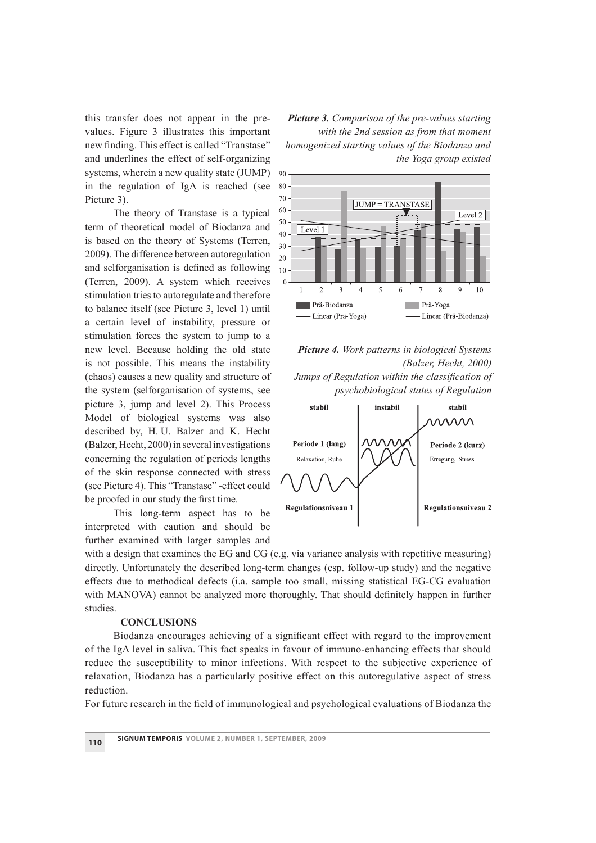this transfer does not appear in the prevalues. Figure 3 illustrates this important new finding. This effect is called "Transtase" and underlines the effect of self-organizing systems, wherein a new quality state (JUMP) in the regulation of IgA is reached (see Picture 3).

The theory of Transtase is a typical term of theoretical model of Biodanza and is based on the theory of Systems (Terren, 2009). The difference between autoregulation and selforganisation is defined as following (Terren, 2009). A system which receives stimulation tries to autoregulate and therefore to balance itself (see Picture 3, level 1) until a certain level of instability, pressure or stimulation forces the system to jump to a new level. Because holding the old state is not possible. This means the instability (chaos) causes a new quality and structure of the system (selforganisation of systems, see picture 3, jump and level 2). This Process Model of biological systems was also described by, H. U. Balzer and K. Hecht (Balzer, Hecht, 2000) in several investigations concerning the regulation of periods lengths of the skin response connected with stress (see Picture 4). This "Transtase" -effect could be proofed in our study the first time.

This long-term aspect has to be interpreted with caution and should be further examined with larger samples and

*Picture 3. Comparison of the pre-values starting with the 2nd session as from that moment homogenized starting values of the Biodanza and the Yoga group existed*







with a design that examines the EG and CG (e.g. via variance analysis with repetitive measuring) directly. Unfortunately the described long-term changes (esp. follow-up study) and the negative effects due to methodical defects (i.a. sample too small, missing statistical EG-CG evaluation with MANOVA) cannot be analyzed more thoroughly. That should definitely happen in further studies.

### **CONCLUSIONS**

Biodanza encourages achieving of a significant effect with regard to the improvement of the IgA level in saliva. This fact speaks in favour of immuno-enhancing effects that should reduce the susceptibility to minor infections. With respect to the subjective experience of relaxation, Biodanza has a particularly positive effect on this autoregulative aspect of stress reduction.

For future research in the field of immunological and psychological evaluations of Biodanza the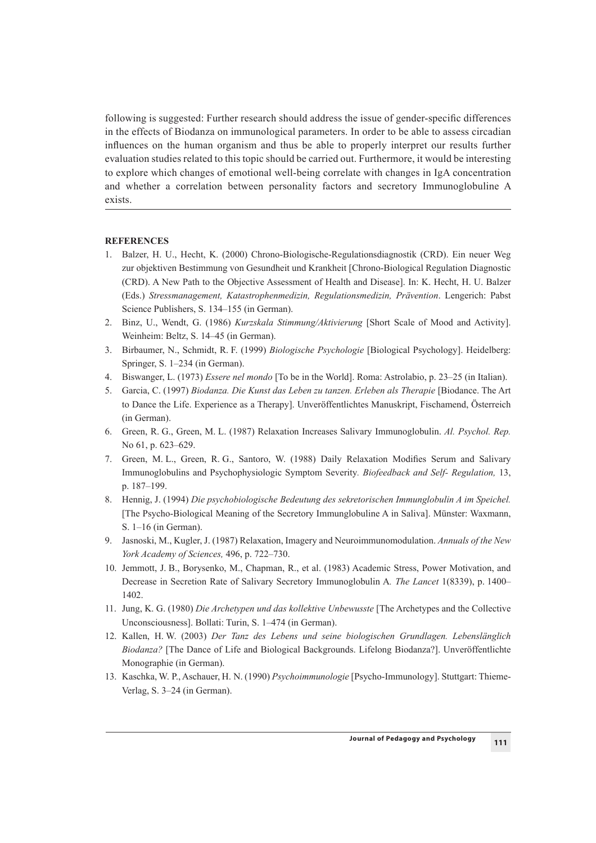following is suggested: Further research should address the issue of gender-specific differences in the effects of Biodanza on immunological parameters. In order to be able to assess circadian influences on the human organism and thus be able to properly interpret our results further evaluation studies related to this topic should be carried out. Furthermore, it would be interesting to explore which changes of emotional well-being correlate with changes in IgA concentration and whether a correlation between personality factors and secretory Immunoglobuline A exists.

### **REFERENCES**

- 1. Balzer, H. U., Hecht, K. (2000) Chrono-Biologische-Regulationsdiagnostik (CRD). Ein neuer Weg zur objektiven Bestimmung von Gesundheit und Krankheit [Chrono-Biological Regulation Diagnostic (CRD). A New Path to the Objective Assessment of Health and Disease]. In: K. Hecht, H. U. Balzer (Eds.) *Stressmanagement, Katastrophenmedizin, Regulationsmedizin, Prävention*. Lengerich: Pabst Science Publishers, S. 134–155 (in German).
- 2. Binz, U., Wendt, G. (1986) *Kurzskala Stimmung/Aktivierung* [Short Scale of Mood and Activity]. Weinheim: Beltz, S. 14–45 (in German).
- 3. Birbaumer, N., Schmidt, R. F. (1999) *Biologische Psychologie* [Biological Psychology]. Heidelberg: Springer, S. 1–234 (in German).
- 4. Biswanger, L. (1973) *Essere nel mondo* [To be in the World]. Roma: Astrolabio, p. 23–25 (in Italian).
- 5. Garcia, C. (1997) *Biodanza. Die Kunst das Leben zu tanzen. Erleben als Therapie* [Biodance. The Art to Dance the Life. Experience as a Therapy]. Unveröffentlichtes Manuskript, Fischamend, Österreich (in German).
- 6. Green, R. G., Green, M. L. (1987) Relaxation Increases Salivary Immunoglobulin. *Al. Psychol. Rep.*  No 61, p. 623–629.
- 7. Green, M. L., Green, R. G., Santoro, W. (1988) Daily Relaxation Modifies Serum and Salivary Immunoglobulins and Psychophysiologic Symptom Severity*. Biofeedback and Self- Regulation,* 13, p. 187–199.
- 8. Hennig, J. (1994) *Die psychobiologische Bedeutung des sekretorischen Immunglobulin A im Speichel.* [The Psycho-Biological Meaning of the Secretory Immunglobuline A in Saliva]. Münster: Waxmann, S. 1–16 (in German).
- 9. Jasnoski, M., Kugler, J. (1987) Relaxation, Imagery and Neuroimmunomodulation. *Annuals of the New York Academy of Sciences,* 496, p. 722–730.
- 10. Jemmott, J. B., Borysenko, M., Chapman, R., et al. (1983) Academic Stress, Power Motivation, and Decrease in Secretion Rate of Salivary Secretory Immunoglobulin A*. The Lancet* 1(8339), p. 1400– 1402.
- 11. Jung, K. G. (1980) *Die Archetypen und das kollektive Unbewusste* [The Archetypes and the Collective Unconsciousness]. Bollati: Turin, S. 1–474 (in German).
- 12. Kallen, H. W. (2003) *Der Tanz des Lebens und seine biologischen Grundlagen. Lebenslänglich Biodanza?* [The Dance of Life and Biological Backgrounds. Lifelong Biodanza?]. Unveröffentlichte Monographie (in German).
- 13. Kaschka, W. P., Aschauer, H. N. (1990) *Psychoimmunologie* [Psycho-Immunology]. Stuttgart: Thieme-Verlag, S. 3–24 (in German).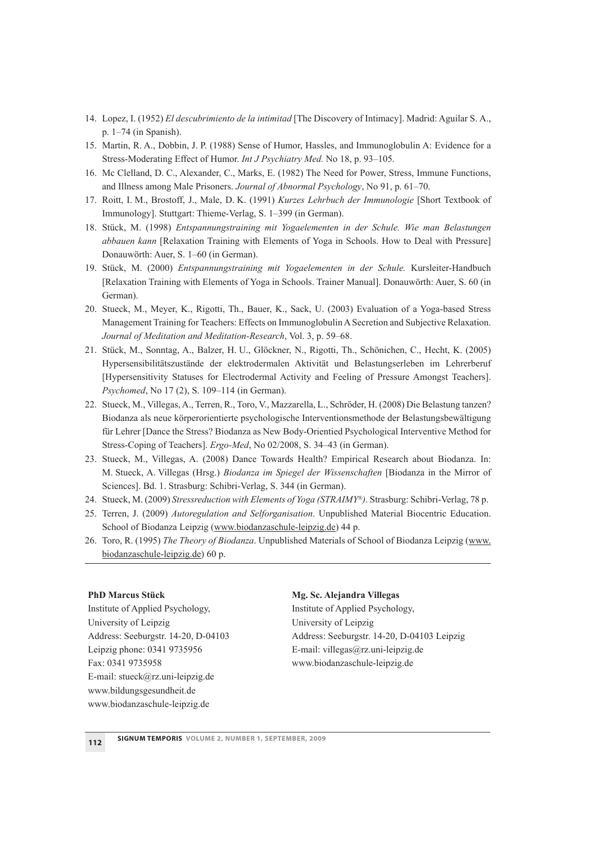- 14. Lopez, I. (1952) *El descubrimiento de la intimitad* [The Discovery of Intimacy]. Madrid: Aguilar S. A., p. 1–74 (in Spanish).
- 15. Martin, R. A., Dobbin, J. P. (1988) Sense of Humor, Hassles, and Immunoglobulin A: Evidence for a Stress-Moderating Effect of Humor. *Int J Psychiatry Med.* No 18, p. 93–105.
- 16. Mc Clelland, D. C., Alexander, C., Marks, E. (1982) The Need for Power, Stress, Immune Functions, and Illness among Male Prisoners. *Journal of Abnormal Psychology*, No 91, p. 61–70.
- 17. Roitt, I. M., Brostoff, J., Male, D. K. (1991) *Kurzes Lehrbuch der Immunologie* [Short Textbook of Immunology]. Stuttgart: Thieme-Verlag, S. 1–399 (in German).
- 18. Stück, M. (1998) *Entspannungstraining mit Yogaelementen in der Schule. Wie man Belastungen abbauen kann* [Relaxation Training with Elements of Yoga in Schools. How to Deal with Pressure] Donauwörth: Auer, S. 1–60 (in German).
- 19. Stück, M. (2000) *Entspannungstraining mit Yogaelementen in der Schule.* Kursleiter-Handbuch [Relaxation Training with Elements of Yoga in Schools. Trainer Manual]. Donauwörth: Auer, S. 60 (in German).
- 20. Stueck, M., Meyer, K., Rigotti, Th., Bauer, K., Sack, U. (2003) Evaluation of a Yoga-based Stress Management Training for Teachers: Effects on Immunoglobulin A Secretion and Subjective Relaxation. *Journal of Meditation and Meditation-Research*, Vol. 3, p. 59–68.
- 21. Stück, M., Sonntag, A., Balzer, H. U., Glöckner, N., Rigotti, Th., Schönichen, C., Hecht, K. (2005) Hypersensibilitätszustände der elektrodermalen Aktivität und Belastungserleben im Lehrerberuf [Hypersensitivity Statuses for Electrodermal Activity and Feeling of Pressure Amongst Teachers]. *Psychomed*, No 17 (2), S. 109–114 (in German).
- 22. Stueck, M., Villegas, A., Terren, R., Toro, V., Mazzarella, L., Schröder, H. (2008) Die Belastung tanzen? Biodanza als neue körperorientierte psychologische Interventionsmethode der Belastungsbewältigung für Lehrer [Dance the Stress? Biodanza as New Body-Orientied Psychological Interventive Method for Stress-Coping of Teachers]. *Ergo-Med*, No 02/2008, S. 34–43 (in German).
- 23. Stueck, M., Villegas, A. (2008) Dance Towards Health? Empirical Research about Biodanza. In: M. Stueck, A. Villegas (Hrsg.) *Biodanza im Spiegel der Wissenschaften* [Biodanza in the Mirror of Sciences]. Bd. 1. Strasburg: Schibri-Verlag, S. 344 (in German).
- 24. Stueck, M. (2009) *Stressreduction with Elements of Yoga (STRAIMY® )*. Strasburg: Schibri-Verlag, 78 p.
- 25. Terren, J. (2009) *Autoregulation and Selforganisation*. Unpublished Material Biocentric Education. School of Biodanza Leipzig (www.biodanzaschule-leipzig.de) 44 p.
- 26. Toro, R. (1995) *The Theory of Biodanza*. Unpublished Materials of School of Biodanza Leipzig (www. biodanzaschule-leipzig.de) 60 p.

### **PhD Marcus Stück**

Institute of Applied Psychology, University of Leipzig Address: Seeburgstr. 14-20, D-04103 Leipzig phone: 0341 9735956 Fax: 0341 9735958 E-mail: stueck@rz.uni-leipzig.de www.bildungsgesundheit.de www.biodanzaschule-leipzig.de

#### **Mg. Sc. Alejandra Villegas**

Institute of Applied Psychology, University of Leipzig Address: Seeburgstr. 14-20, D-04103 Leipzig E-mail: villegas@rz.uni-leipzig.de www.biodanzaschule-leipzig.de